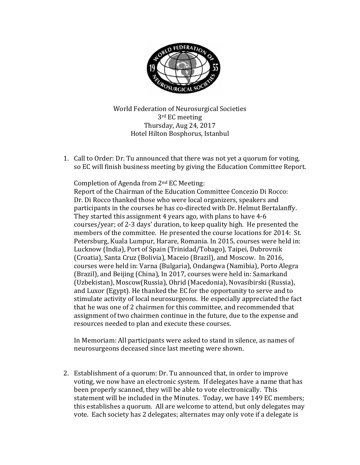

World Federation of Neurosurgical Societies 3rd EC meeting Thursday, Aug 24, 2017 Hotel Hilton Bosphorus, Istanbul

1. Call to Order: Dr. Tu announced that there was not yet a quorum for voting, so EC will finish business meeting by giving the Education Committee Report.

Completion of Agenda from 2nd EC Meeting:

Report of the Chairman of the Education Committee Concezio Di Rocco: Dr. Di Rocco thanked those who were local organizers, speakers and participants in the courses he has co-directed with Dr. Helmut Bertalanffy. They started this assignment 4 years ago, with plans to have 4-6 courses/year; of 2-3 days' duration, to keep quality high. He presented the members of the committee. He presented the course locations for 2014: St. Petersburg, Kuala Lumpur, Harare, Romania. In 2015, courses were held in: Lucknow (India), Port of Spain (Trinidad/Tobago), Taipei, Dubrovnik (Croatia), Santa Cruz (Bolivia), Maceio (Brazil), and Moscow. In 2016, courses were held in: Varna (Bulgaria), Ondangwa (Namibia), Porto Alegra (Brazil), and Beijing (China), In 2017, courses were held in: Samarkand (Uzbekistan), Moscow(Russia), Ohrid (Macedonia), Novasibirski (Russia), and Luxor (Egypt). He thanked the EC for the opportunity to serve and to stimulate activity of local neurosurgeons. He especially appreciated the fact that he was one of 2 chairmen for this committee, and recommended that assignment of two chairmen continue in the future, due to the expense and resources needed to plan and execute these courses.

In Memoriam: All participants were asked to stand in silence, as names of neurosurgeons deceased since last meeting were shown.

2. Establishment of a quorum: Dr. Tu announced that, in order to improve voting, we now have an electronic system. If delegates have a name that has been properly scanned, they will be able to vote electronically. This statement will be included in the Minutes. Today, we have 149 EC members; this establishes a quorum. All are welcome to attend, but only delegates may vote. Each society has 2 delegates; alternates may only vote if a delegate is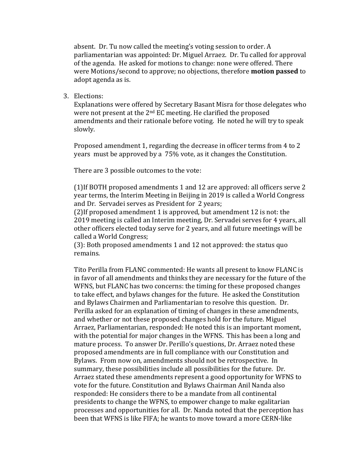absent. Dr. Tu now called the meeting's voting session to order. A parliamentarian was appointed: Dr. Miguel Arraez. Dr. Tu called for approval of the agenda. He asked for motions to change: none were offered. There were Motions/second to approve; no objections, therefore **motion passed** to adopt agenda as is.

3. Elections:

Explanations were offered by Secretary Basant Misra for those delegates who were not present at the 2<sup>nd</sup> EC meeting. He clarified the proposed amendments and their rationale before voting. He noted he will try to speak slowly.

Proposed amendment 1, regarding the decrease in officer terms from 4 to 2 years must be approved by a 75% vote, as it changes the Constitution.

There are 3 possible outcomes to the vote:

(1)If BOTH proposed amendments 1 and 12 are approved: all officers serve 2 year terms, the Interim Meeting in Beijing in 2019 is called a World Congress and Dr. Servadei serves as President for 2 years;

(2)If proposed amendment 1 is approved, but amendment 12 is not: the 2019 meeting is called an Interim meeting, Dr. Servadei serves for 4 years, all other officers elected today serve for 2 years, and all future meetings will be called a World Congress;

(3): Both proposed amendments 1 and 12 not approved: the status quo remains.

Tito Perilla from FLANC commented: He wants all present to know FLANC is in favor of all amendments and thinks they are necessary for the future of the WFNS, but FLANC has two concerns: the timing for these proposed changes to take effect, and bylaws changes for the future. He asked the Constitution and Bylaws Chairmen and Parliamentarian to resolve this question. Dr. Perilla asked for an explanation of timing of changes in these amendments, and whether or not these proposed changes hold for the future. Miguel Arraez, Parliamentarian, responded: He noted this is an important moment, with the potential for major changes in the WFNS. This has been a long and mature process. To answer Dr. Perillo's questions, Dr. Arraez noted these proposed amendments are in full compliance with our Constitution and Bylaws. From now on, amendments should not be retrospective. In summary, these possibilities include all possibilities for the future. Dr. Arraez stated these amendments represent a good opportunity for WFNS to vote for the future. Constitution and Bylaws Chairman Anil Nanda also responded: He considers there to be a mandate from all continental presidents to change the WFNS, to empower change to make egalitarian processes and opportunities for all. Dr. Nanda noted that the perception has been that WFNS is like FIFA; he wants to move toward a more CERN-like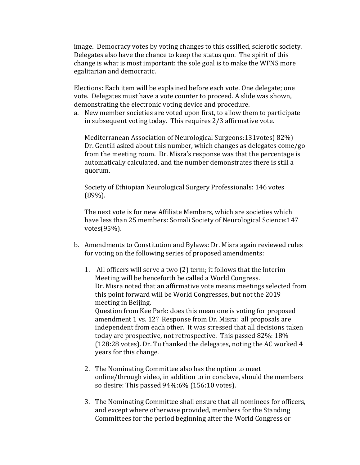image. Democracy votes by voting changes to this ossified, sclerotic society. Delegates also have the chance to keep the status quo. The spirit of this change is what is most important: the sole goal is to make the WFNS more egalitarian and democratic.

Elections: Each item will be explained before each vote. One delegate; one vote. Delegates must have a vote counter to proceed. A slide was shown, demonstrating the electronic voting device and procedure.

a. New member societies are voted upon first, to allow them to participate in subsequent voting today. This requires 2/3 affirmative vote.

Mediterranean Association of Neurological Surgeons:131votes( 82%) Dr. Gentili asked about this number, which changes as delegates come/go from the meeting room. Dr. Misra's response was that the percentage is automatically calculated, and the number demonstrates there is still a quorum.

Society of Ethiopian Neurological Surgery Professionals: 146 votes (89%).

The next vote is for new Affiliate Members, which are societies which have less than 25 members: Somali Society of Neurological Science:147 votes(95%).

- b. Amendments to Constitution and Bylaws: Dr. Misra again reviewed rules for voting on the following series of proposed amendments:
	- 1. All officers will serve a two (2) term; it follows that the Interim Meeting will be henceforth be called a World Congress. Dr. Misra noted that an affirmative vote means meetings selected from this point forward will be World Congresses, but not the 2019 meeting in Beijing. Question from Kee Park: does this mean one is voting for proposed amendment 1 vs. 12? Response from Dr. Misra: all proposals are independent from each other. It was stressed that all decisions taken today are prospective, not retrospective. This passed 82%: 18% (128:28 votes). Dr. Tu thanked the delegates, noting the AC worked 4 years for this change.
	- 2. The Nominating Committee also has the option to meet online/through video, in addition to in conclave, should the members so desire: This passed 94%:6% (156:10 votes).
	- 3. The Nominating Committee shall ensure that all nominees for officers, and except where otherwise provided, members for the Standing Committees for the period beginning after the World Congress or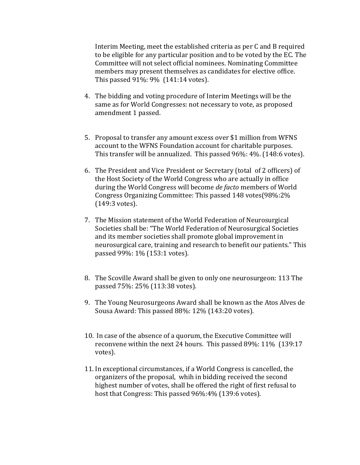Interim Meeting, meet the established criteria as per C and B required to be eligible for any particular position and to be voted by the EC. The Committee will not select official nominees. Nominating Committee members may present themselves as candidates for elective office. This passed 91%: 9% (141:14 votes).

- 4. The bidding and voting procedure of Interim Meetings will be the same as for World Congresses: not necessary to vote, as proposed amendment 1 passed.
- 5. Proposal to transfer any amount excess over \$1 million from WFNS account to the WFNS Foundation account for charitable purposes. This transfer will be annualized. This passed 96%: 4%. (148:6 votes).
- 6. The President and Vice President or Secretary (total of 2 officers) of the Host Society of the World Congress who are actually in office during the World Congress will become *de facto* members of World Congress Organizing Committee: This passed 148 votes(98%:2% (149:3 votes).
- 7. The Mission statement of the World Federation of Neurosurgical Societies shall be: "The World Federation of Neurosurgical Societies and its member societies shall promote global improvement in neurosurgical care, training and research to benefit our patients." This passed 99%: 1% (153:1 votes).
- 8. The Scoville Award shall be given to only one neurosurgeon: 113 The passed 75%: 25% (113:38 votes).
- 9. The Young Neurosurgeons Award shall be known as the Atos Alves de Sousa Award: This passed 88%: 12% (143:20 votes).
- 10. In case of the absence of a quorum, the Executive Committee will reconvene within the next 24 hours. This passed 89%: 11% (139:17 votes).
- 11. In exceptional circumstances, if a World Congress is cancelled, the organizers of the proposal, whih in bidding received the second highest number of votes, shall be offered the right of first refusal to host that Congress: This passed 96%:4% (139:6 votes).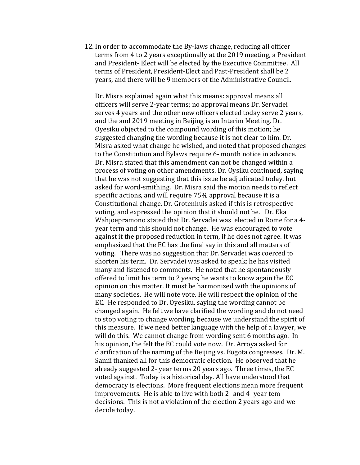12. In order to accommodate the By-laws change, reducing all officer terms from 4 to 2 years exceptionally at the 2019 meeting, a President and President- Elect will be elected by the Executive Committee. All terms of President, President-Elect and Past-President shall be 2 years, and there will be 9 members of the Administrative Council.

Dr. Misra explained again what this means: approval means all officers will serve 2-year terms; no approval means Dr. Servadei serves 4 years and the other new officers elected today serve 2 years, and the and 2019 meeting in Beijing is an Interim Meeting. Dr. Oyesiku objected to the compound wording of this motion; he suggested changing the wording because it is not clear to him. Dr. Misra asked what change he wished, and noted that proposed changes to the Constitution and Bylaws require 6- month notice in advance. Dr. Misra stated that this amendment can not be changed within a process of voting on other amendments. Dr. Oysiku continued, saying that he was not suggesting that this issue be adjudicated today, but asked for word-smithing. Dr. Misra said the motion needs to reflect specific actions, and will require 75% approval because it is a Constitutional change. Dr. Grotenhuis asked if this is retrospective voting, and expressed the opinion that it should not be. Dr. Eka Wahjoepramono stated that Dr. Servadei was elected in Rome for a 4 year term and this should not change. He was encouraged to vote against it the proposed reduction in term, if he does not agree. It was emphasized that the EC has the final say in this and all matters of voting. There was no suggestion that Dr. Servadei was coerced to shorten his term. Dr. Servadei was asked to speak: he has visited many and listened to comments. He noted that he spontaneously offered to limit his term to 2 years; he wants to know again the EC opinion on this matter. It must be harmonized with the opinions of many societies. He will note vote. He will respect the opinion of the EC. He responded to Dr. Oyesiku, saying the wording cannot be changed again. He felt we have clarified the wording and do not need to stop voting to change wording, because we understand the spirit of this measure. If we need better language with the help of a lawyer, we will do this. We cannot change from wording sent 6 months ago. In his opinion, the felt the EC could vote now. Dr. Arroya asked for clarification of the naming of the Beijing vs. Bogota congresses. Dr. M. Samii thanked all for this democratic election. He observed that he already suggested 2- year terms 20 years ago. Three times, the EC voted against. Today is a historical day. All have understood that democracy is elections. More frequent elections mean more frequent improvements. He is able to live with both 2- and 4- year tem decisions. This is not a violation of the election 2 years ago and we decide today.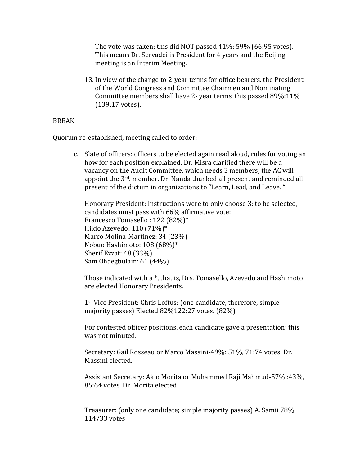The vote was taken; this did NOT passed 41%: 59% (66:95 votes). This means Dr. Servadei is President for 4 years and the Beijing meeting is an Interim Meeting.

13. In view of the change to 2-year terms for office bearers, the President of the World Congress and Committee Chairmen and Nominating Committee members shall have 2- year terms this passed 89%:11% (139:17 votes).

## BREAK

Quorum re-established, meeting called to order:

c. Slate of officers: officers to be elected again read aloud, rules for voting an how for each position explained. Dr. Misra clarified there will be a vacancy on the Audit Committee, which needs 3 members; the AC will appoint the 3rd. member. Dr. Nanda thanked all present and reminded all present of the dictum in organizations to "Learn, Lead, and Leave. "

Honorary President: Instructions were to only choose 3: to be selected, candidates must pass with 66% affirmative vote: Francesco Tomasello : 122 (82%)\* Hildo Azevedo: 110 (71%)\* Marco Molina-Martinez: 34 (23%) Nobuo Hashimoto: 108 (68%)\* Sherif Ezzat: 48 (33%) Sam Ohaegbulam: 61 (44%)

Those indicated with a \*, that is, Drs. Tomasello, Azevedo and Hashimoto are elected Honorary Presidents.

1st Vice President: Chris Loftus: (one candidate, therefore, simple majority passes) Elected 82%122:27 votes. (82%)

For contested officer positions, each candidate gave a presentation; this was not minuted.

Secretary: Gail Rosseau or Marco Massini-49%: 51%, 71:74 votes. Dr. Massini elected.

Assistant Secretary: Akio Morita or Muhammed Raji Mahmud-57% :43%, 85:64 votes. Dr. Morita elected.

Treasurer: (only one candidate; simple majority passes) A. Samii 78% 114/33 votes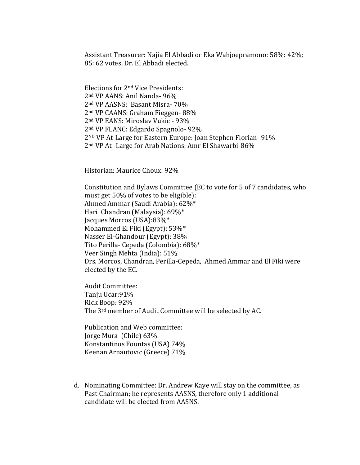Assistant Treasurer: Najia El Abbadi or Eka Wahjoepramono: 58%: 42%; 85: 62 votes. Dr. El Abbadi elected.

Elections for 2nd Vice Presidents: nd VP AANS: Anil Nanda- 96% nd VP AASNS: Basant Misra- 70% nd VP CAANS: Graham Fieggen- 88% nd VP EANS: Miroslav Vukic - 93% nd VP FLANC: Edgardo Spagnolo- 92% ND VP At-Large for Eastern Europe: Joan Stephen Florian- 91% nd VP At -Large for Arab Nations: Amr El Shawarbi-86%

Historian: Maurice Choux: 92%

Constitution and Bylaws Committee (EC to vote for 5 of 7 candidates, who must get 50% of votes to be eligible): Ahmed Ammar (Saudi Arabia): 62%\* Hari Chandran (Malaysia): 69%\* Jacques Morcos (USA):83%\* Mohammed El Fiki (Egypt): 53%\* Nasser El-Ghandour (Egypt): 38% Tito Perilla- Cepeda (Colombia): 68%\* Veer Singh Mehta (India): 51% Drs. Morcos, Chandran, Perilla-Cepeda, Ahmed Ammar and El Fiki were elected by the EC.

Audit Committee: Tanju Ucar:91% Rick Boop: 92% The 3rd member of Audit Committee will be selected by AC.

Publication and Web committee: Jorge Mura (Chile) 63% Konstantinos Fountas (USA) 74% Keenan Arnautovic (Greece) 71%

d. Nominating Committee: Dr. Andrew Kaye will stay on the committee, as Past Chairman; he represents AASNS, therefore only 1 additional candidate will be elected from AASNS.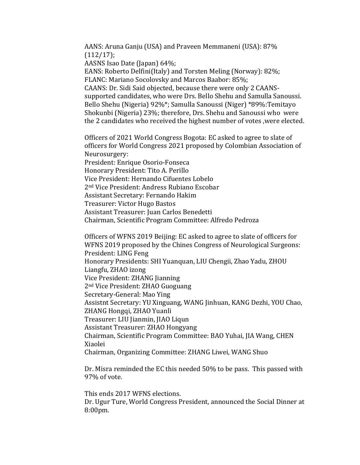AANS: Aruna Ganju (USA) and Praveen Memmaneni (USA): 87%  $(112/17);$ 

AASNS Isao Date (Japan) 64%;

EANS: Roberto Delfini(Italy) and Torsten Meling (Norway): 82%; FLANC: Mariano Socolovsky and Marcos Baabor: 85%;

CAANS: Dr. Sidi Said objected, because there were only 2 CAANSsupported candidates, who were Drs. Bello Shehu and Samulla Sanoussi. Bello Shehu (Nigeria) 92%\*; Samulla Sanoussi (Niger) \*89%:Temitayo Shokunbi (Nigeria) 23%; therefore, Drs. Shehu and Sanoussi who were the 2 candidates who received the highest number of votes ,were elected.

Officers of 2021 World Congress Bogota: EC asked to agree to slate of officers for World Congress 2021 proposed by Colombian Association of Neurosurgery:

President: Enrique Osorio-Fonseca

Honorary President: Tito A. Perillo

Vice President: Hernando Cifuentes Lobelo

2nd Vice President: Andress Rubiano Escobar

Assistant Secretary: Fernando Hakim

Treasurer: Victor Hugo Bastos

Assistant Treasurer: Juan Carlos Benedetti

Chairman, Scientific Program Committee: Alfredo Pedroza

Officers of WFNS 2019 Beijing: EC asked to agree to slate of officers for WFNS 2019 proposed by the Chines Congress of Neurological Surgeons: President: LING Feng Honorary Presidents: SHI Yuanquan, LIU Chengii, Zhao Yadu, ZHOU Liangfu, ZHAO izong Vice President: ZHANG Jianning 2nd Vice President: ZHAO Guoguang Secretary-General: Mao Ying Assistnt Secretary: YU Xinguang, WANG Jinhuan, KANG Dezhi, YOU Chao, ZHANG Hongqi, ZHAO Yuanli Treasurer: LIU Jianmin, JIAO Liqun Assistant Treasurer: ZHAO Hongyang Chairman, Scientific Program Committee: BAO Yuhai, JIA Wang, CHEN Xiaolei Chairman, Organizing Committee: ZHANG Liwei, WANG Shuo

Dr. Misra reminded the EC this needed 50% to be pass. This passed with 97% of vote.

This ends 2017 WFNS elections. Dr. Ugur Ture, World Congress President, announced the Social Dinner at 8:00pm.